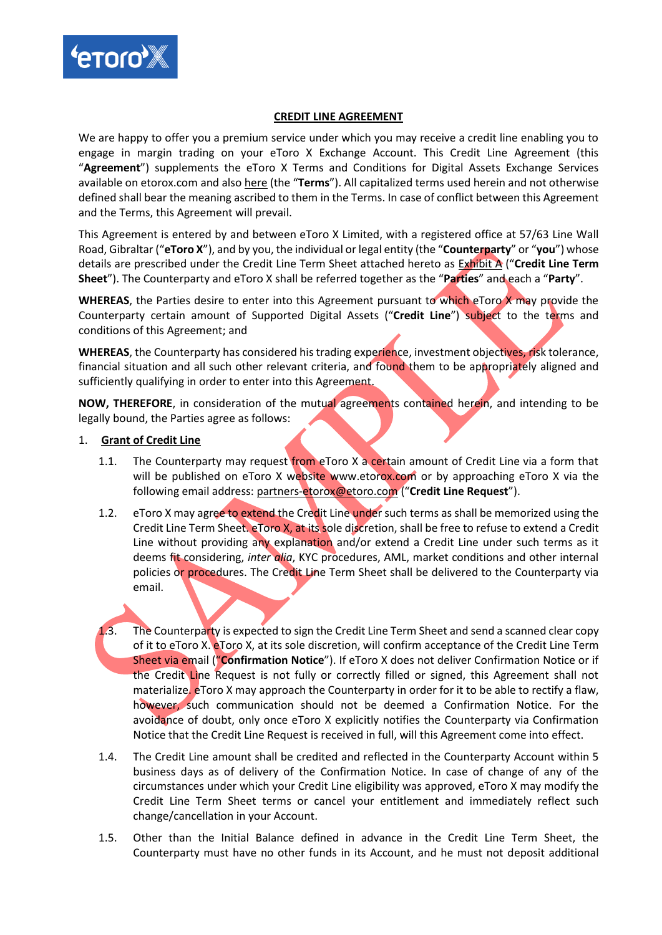

#### **CREDIT LINE AGREEMENT**

We are happy to offer you a premium service under which you may receive a credit line enabling you to engage in margin trading on your eToro X Exchange Account. This Credit Line Agreement (this "**Agreement**") supplements the eToro X Terms and Conditions for Digital Assets Exchange Services available on etorox.com and also [here](https://www.etorox.com/wp-content/uploads/2019/07/eToro-X-Limited-Exchange-Terms-of-Use-8.7.19-Clean.pdf) (the "**Terms**"). All capitalized terms used herein and not otherwise defined shall bear the meaning ascribed to them in the Terms. In case of conflict between this Agreement and the Terms, this Agreement will prevail.

This Agreement is entered by and between eToro X Limited, with a registered office at 57/63 Line Wall Road, Gibraltar ("**eToro X**"), and by you, the individual or legal entity (the "**Counterparty**" or "**you**") whose details are prescribed under the Credit Line Term Sheet attached hereto as Exhibit A ("**Credit Line Term Sheet**"). The Counterparty and eToro X shall be referred together as the "**Parties**" and each a "**Party**".

**WHEREAS**, the Parties desire to enter into this Agreement pursuant to which eToro X may provide the Counterparty certain amount of Supported Digital Assets ("**Credit Line**") subject to the terms and conditions of this Agreement; and

**WHEREAS**, the Counterparty has considered his trading experience, investment objectives, risk tolerance, financial situation and all such other relevant criteria, and found them to be appropriately aligned and sufficiently qualifying in order to enter into this Agreement.

**NOW, THEREFORE**, in consideration of the mutual agreements contained herein, and intending to be legally bound, the Parties agree as follows:

### 1. **Grant of Credit Line**

- 1.1. The Counterparty may request from eToro X a certain amount of Credit Line via a form that will be published on eToro X website [www.etorox.com](http://www.etorox.com/) or by approaching eToro X via the following email address: partners-etorox@etoro.com ("**Credit Line Request**").
- 1.2. eToro X may agree to extend the Credit Line under such terms as shall be memorized using the Credit Line Term Sheet. eToro X, at its sole discretion, shall be free to refuse to extend a Credit Line without providing any explanation and/or extend a Credit Line under such terms as it deems fit considering, *inter alia*, KYC procedures, AML, market conditions and other internal policies or procedures. The Credit Line Term Sheet shall be delivered to the Counterparty via email.
- 1.3. The Counterparty is expected to sign the Credit Line Term Sheet and send a scanned clear copy of it to eToro X. eToro X, at its sole discretion, will confirm acceptance of the Credit Line Term Sheet via email ("**Confirmation Notice**"). If eToro X does not deliver Confirmation Notice or if the Credit Line Request is not fully or correctly filled or signed, this Agreement shall not materialize. eToro X may approach the Counterparty in order for it to be able to rectify a flaw, however, such communication should not be deemed a Confirmation Notice. For the avoidance of doubt, only once eToro X explicitly notifies the Counterparty via Confirmation Notice that the Credit Line Request is received in full, will this Agreement come into effect.
- 1.4. The Credit Line amount shall be credited and reflected in the Counterparty Account within 5 business days as of delivery of the Confirmation Notice. In case of change of any of the circumstances under which your Credit Line eligibility was approved, eToro X may modify the Credit Line Term Sheet terms or cancel your entitlement and immediately reflect such change/cancellation in your Account.
- 1.5. Other than the Initial Balance defined in advance in the Credit Line Term Sheet, the Counterparty must have no other funds in its Account, and he must not deposit additional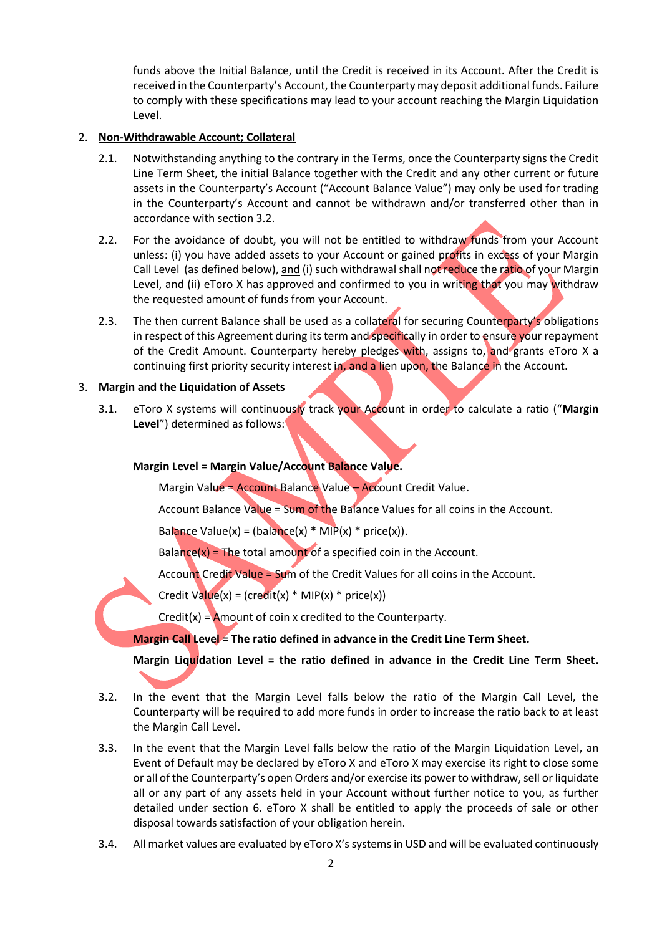funds above the Initial Balance, until the Credit is received in its Account. After the Credit is received in the Counterparty's Account, the Counterparty may deposit additional funds. Failure to comply with these specifications may lead to your account reaching the Margin Liquidation Level.

# 2. **Non-Withdrawable Account; Collateral**

- 2.1. Notwithstanding anything to the contrary in the Terms, once the Counterparty signs the Credit Line Term Sheet, the initial Balance together with the Credit and any other current or future assets in the Counterparty's Account ("Account Balance Value") may only be used for trading in the Counterparty's Account and cannot be withdrawn and/or transferred other than in accordance with section 3.2.
- 2.2. For the avoidance of doubt, you will not be entitled to withdraw funds from your Account unless: (i) you have added assets to your Account or gained profits in excess of your Margin Call Level (as defined below), and (i) such withdrawal shall not reduce the ratio of your Margin Level, and (ii) eToro X has approved and confirmed to you in writing that you may withdraw the requested amount of funds from your Account.
- 2.3. The then current Balance shall be used as a collateral for securing Counterparty's obligations in respect of this Agreement during its term and specifically in order to ensure your repayment of the Credit Amount. Counterparty hereby pledges with, assigns to, and grants eToro X a continuing first priority security interest in, and a lien upon, the Balance in the Account.

# 3. **Margin and the Liquidation of Assets**

3.1. eToro X systems will continuously track your Account in order to calculate a ratio ("**Margin Level**") determined as follows:

# **Margin Level = Margin Value/Account Balance Value.**

Margin Value = Account Balance Value - Account Credit Value.

Account Balance Value = Sum of the Balance Values for all coins in the Account.

Balance Value(x) = (balance(x) \* MIP(x) \* price(x)).

Balance $(x)$  = The total amount of a specified coin in the Account.

Account Credit Value = Sum of the Credit Values for all coins in the Account.

Credit Value(x) = (credit(x) \* MIP(x) \* price(x))

 $Credit(x) =$  Amount of coin x credited to the Counterparty.

### **Margin Call Level = The ratio defined in advance in the Credit Line Term Sheet.**

**Margin Liquidation Level = the ratio defined in advance in the Credit Line Term Sheet.**

- 3.2. In the event that the Margin Level falls below the ratio of the Margin Call Level, the Counterparty will be required to add more funds in order to increase the ratio back to at least the Margin Call Level.
- 3.3. In the event that the Margin Level falls below the ratio of the Margin Liquidation Level, an Event of Default may be declared by eToro X and eToro X may exercise its right to close some or all of the Counterparty's open Orders and/or exercise its power to withdraw, sell or liquidate all or any part of any assets held in your Account without further notice to you, as further detailed under section 6. eToro X shall be entitled to apply the proceeds of sale or other disposal towards satisfaction of your obligation herein.
- 3.4. All market values are evaluated by eToro X's systems in USD and will be evaluated continuously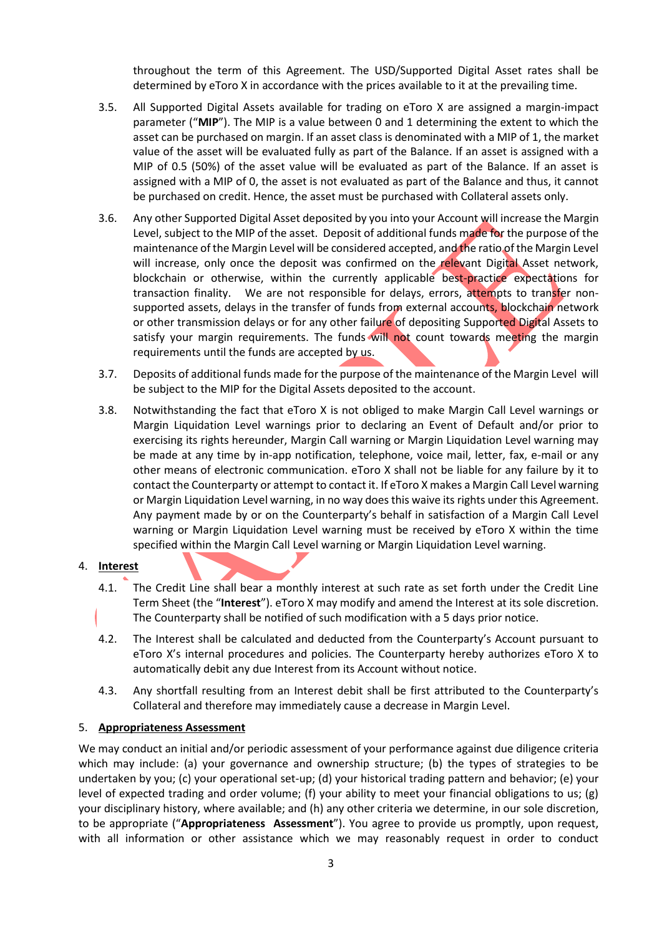throughout the term of this Agreement. The USD/Supported Digital Asset rates shall be determined by eToro X in accordance with the prices available to it at the prevailing time.

- 3.5. All Supported Digital Assets available for trading on eToro X are assigned a margin-impact parameter ("**MIP**"). The MIP is a value between 0 and 1 determining the extent to which the asset can be purchased on margin. If an asset class is denominated with a MIP of 1, the market value of the asset will be evaluated fully as part of the Balance. If an asset is assigned with a MIP of 0.5 (50%) of the asset value will be evaluated as part of the Balance. If an asset is assigned with a MIP of 0, the asset is not evaluated as part of the Balance and thus, it cannot be purchased on credit. Hence, the asset must be purchased with Collateral assets only.
- 3.6. Any other Supported Digital Asset deposited by you into your Account will increase the Margin Level, subject to the MIP of the asset. Deposit of additional funds made for the purpose of the maintenance of the Margin Level will be considered accepted, and the ratio of the Margin Level will increase, only once the deposit was confirmed on the relevant Digital Asset network, blockchain or otherwise, within the currently applicable best-practice expectations for transaction finality. We are not responsible for delays, errors, attempts to transfer nonsupported assets, delays in the transfer of funds from external accounts, blockchain network or other transmission delays or for any other failure of depositing Supported Digital Assets to satisfy your margin requirements. The funds will not count towards meeting the margin requirements until the funds are accepted by us.
- 3.7. Deposits of additional funds made for the purpose of the maintenance of the Margin Level will be subject to the MIP for the Digital Assets deposited to the account.
- 3.8. Notwithstanding the fact that eToro X is not obliged to make Margin Call Level warnings or Margin Liquidation Level warnings prior to declaring an Event of Default and/or prior to exercising its rights hereunder, Margin Call warning or Margin Liquidation Level warning may be made at any time by in-app notification, telephone, voice mail, letter, fax, e-mail or any other means of electronic communication. eToro X shall not be liable for any failure by it to contact the Counterparty or attempt to contact it. If eToro X makes a Margin Call Level warning or Margin Liquidation Level warning, in no way does this waive its rights under this Agreement. Any payment made by or on the Counterparty's behalf in satisfaction of a Margin Call Level warning or Margin Liquidation Level warning must be received by eToro X within the time specified within the Margin Call Level warning or Margin Liquidation Level warning.

# 4. **Interest**

- 4.1. The Credit Line shall bear a monthly interest at such rate as set forth under the Credit Line Term Sheet (the "**Interest**"). eToro X may modify and amend the Interest at its sole discretion. The Counterparty shall be notified of such modification with a 5 days prior notice.
- 4.2. The Interest shall be calculated and deducted from the Counterparty's Account pursuant to eToro X's internal procedures and policies. The Counterparty hereby authorizes eToro X to automatically debit any due Interest from its Account without notice.
- 4.3. Any shortfall resulting from an Interest debit shall be first attributed to the Counterparty's Collateral and therefore may immediately cause a decrease in Margin Level.

#### 5. **Appropriateness Assessment**

We may conduct an initial and/or periodic assessment of your performance against due diligence criteria which may include: (a) your governance and ownership structure; (b) the types of strategies to be undertaken by you; (c) your operational set-up; (d) your historical trading pattern and behavior; (e) your level of expected trading and order volume; (f) your ability to meet your financial obligations to us; (g) your disciplinary history, where available; and (h) any other criteria we determine, in our sole discretion, to be appropriate ("**Appropriateness Assessment**"). You agree to provide us promptly, upon request, with all information or other assistance which we may reasonably request in order to conduct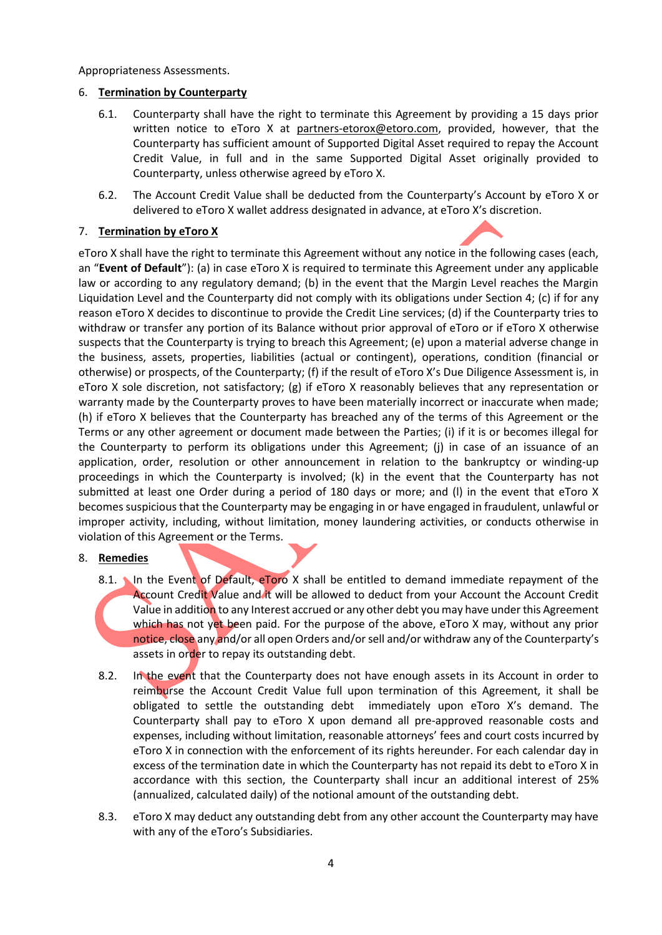Appropriateness Assessments.

### 6. **Termination by Counterparty**

- 6.1. Counterparty shall have the right to terminate this Agreement by providing a 15 days prior written notice to eToro X at partners-etorox@etoro.com, provided, however, that the Counterparty has sufficient amount of Supported Digital Asset required to repay the Account Credit Value, in full and in the same Supported Digital Asset originally provided to Counterparty, unless otherwise agreed by eToro X.
- 6.2. The Account Credit Value shall be deducted from the Counterparty's Account by eToro X or delivered to eToro X wallet address designated in advance, at eToro X's discretion.

# 7. **Termination by eToro X**

eToro X shall have the right to terminate this Agreement without any notice in the following cases (each, an "**Event of Default**"): (a) in case eToro X is required to terminate this Agreement under any applicable law or according to any regulatory demand; (b) in the event that the Margin Level reaches the Margin Liquidation Level and the Counterparty did not comply with its obligations under Section 4; (c) if for any reason eToro X decides to discontinue to provide the Credit Line services; (d) if the Counterparty tries to withdraw or transfer any portion of its Balance without prior approval of eToro or if eToro X otherwise suspects that the Counterparty is trying to breach this Agreement; (e) upon a material adverse change in the business, assets, properties, liabilities (actual or contingent), operations, condition (financial or otherwise) or prospects, of the Counterparty; (f) if the result of eToro X's Due Diligence Assessment is, in eToro X sole discretion, not satisfactory; (g) if eToro X reasonably believes that any representation or warranty made by the Counterparty proves to have been materially incorrect or inaccurate when made; (h) if eToro X believes that the Counterparty has breached any of the terms of this Agreement or the Terms or any other agreement or document made between the Parties; (i) if it is or becomes illegal for the Counterparty to perform its obligations under this Agreement; (j) in case of an issuance of an application, order, resolution or other announcement in relation to the bankruptcy or winding-up proceedings in which the Counterparty is involved; (k) in the event that the Counterparty has not submitted at least one Order during a period of 180 days or more; and (I) in the event that eToro X becomes suspicious that the Counterparty may be engaging in or have engaged in fraudulent, unlawful or improper activity, including, without limitation, money laundering activities, or conducts otherwise in violation of this Agreement or the Terms.

### 8. **Remedies**

- 8.1. In the Event of Default, eToro X shall be entitled to demand immediate repayment of the Account Credit Value and it will be allowed to deduct from your Account the Account Credit Value in addition to any Interest accrued or any other debt you may have under this Agreement which has not yet been paid. For the purpose of the above, eToro X may, without any prior notice, close any and/or all open Orders and/or sell and/or withdraw any of the Counterparty's assets in order to repay its outstanding debt.
- 8.2. In the event that the Counterparty does not have enough assets in its Account in order to reimburse the Account Credit Value full upon termination of this Agreement, it shall be obligated to settle the outstanding debt immediately upon eToro X's demand. The Counterparty shall pay to eToro X upon demand all pre-approved reasonable costs and expenses, including without limitation, reasonable attorneys' fees and court costs incurred by eToro X in connection with the enforcement of its rights hereunder. For each calendar day in excess of the termination date in which the Counterparty has not repaid its debt to eToro X in accordance with this section, the Counterparty shall incur an additional interest of 25% (annualized, calculated daily) of the notional amount of the outstanding debt.
- 8.3. eToro X may deduct any outstanding debt from any other account the Counterparty may have with any of the eToro's Subsidiaries.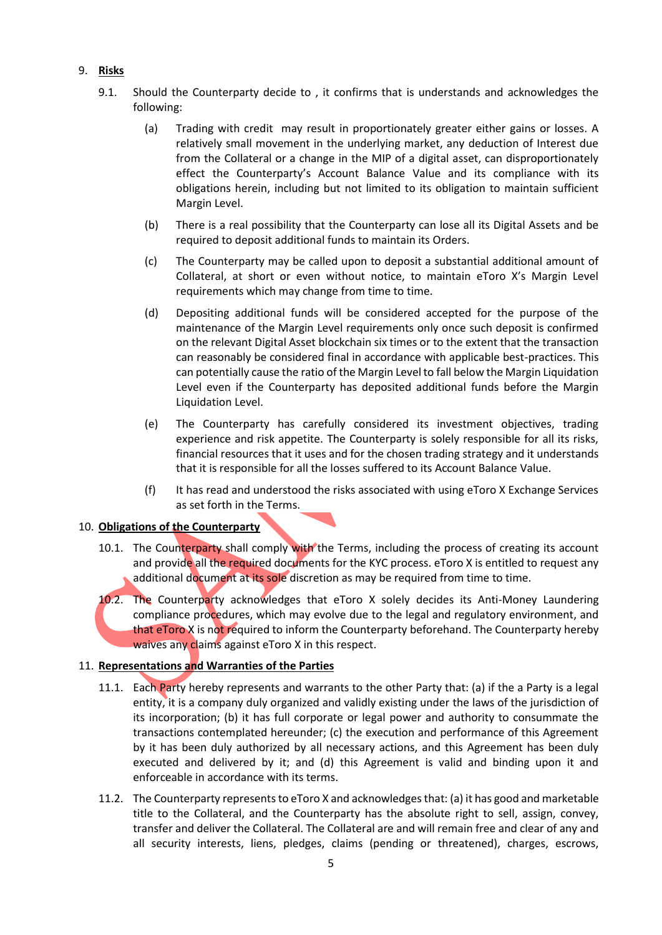# 9. **Risks**

- 9.1. Should the Counterparty decide to , it confirms that is understands and acknowledges the following:
	- (a) Trading with credit may result in proportionately greater either gains or losses. A relatively small movement in the underlying market, any deduction of Interest due from the Collateral or a change in the MIP of a digital asset, can disproportionately effect the Counterparty's Account Balance Value and its compliance with its obligations herein, including but not limited to its obligation to maintain sufficient Margin Level.
	- (b) There is a real possibility that the Counterparty can lose all its Digital Assets and be required to deposit additional funds to maintain its Orders.
	- (c) The Counterparty may be called upon to deposit a substantial additional amount of Collateral, at short or even without notice, to maintain eToro X's Margin Level requirements which may change from time to time.
	- (d) Depositing additional funds will be considered accepted for the purpose of the maintenance of the Margin Level requirements only once such deposit is confirmed on the relevant Digital Asset blockchain six times or to the extent that the transaction can reasonably be considered final in accordance with applicable best-practices. This can potentially cause the ratio of the Margin Level to fall below the Margin Liquidation Level even if the Counterparty has deposited additional funds before the Margin Liquidation Level.
	- (e) The Counterparty has carefully considered its investment objectives, trading experience and risk appetite. The Counterparty is solely responsible for all its risks, financial resources that it uses and for the chosen trading strategy and it understands that it is responsible for all the losses suffered to its Account Balance Value.
	- (f) It has read and understood the risks associated with using eToro X Exchange Services as set forth in the Terms.

### 10. **Obligations of the Counterparty**

- 10.1. The Counterparty shall comply with the Terms, including the process of creating its account and provide all the required documents for the KYC process. eToro X is entitled to request any additional document at its sole discretion as may be required from time to time.
- 10.2. The Counterparty acknowledges that eToro X solely decides its Anti-Money Laundering compliance procedures, which may evolve due to the legal and regulatory environment, and that eToro X is not required to inform the Counterparty beforehand. The Counterparty hereby waives any claims against eToro X in this respect.

# 11. **Representations and Warranties of the Parties**

- 11.1. Each Party hereby represents and warrants to the other Party that: (a) if the a Party is a legal entity, it is a company duly organized and validly existing under the laws of the jurisdiction of its incorporation; (b) it has full corporate or legal power and authority to consummate the transactions contemplated hereunder; (c) the execution and performance of this Agreement by it has been duly authorized by all necessary actions, and this Agreement has been duly executed and delivered by it; and (d) this Agreement is valid and binding upon it and enforceable in accordance with its terms.
- 11.2. The Counterparty represents to eToro X and acknowledges that: (a) it has good and marketable title to the Collateral, and the Counterparty has the absolute right to sell, assign, convey, transfer and deliver the Collateral. The Collateral are and will remain free and clear of any and all security interests, liens, pledges, claims (pending or threatened), charges, escrows,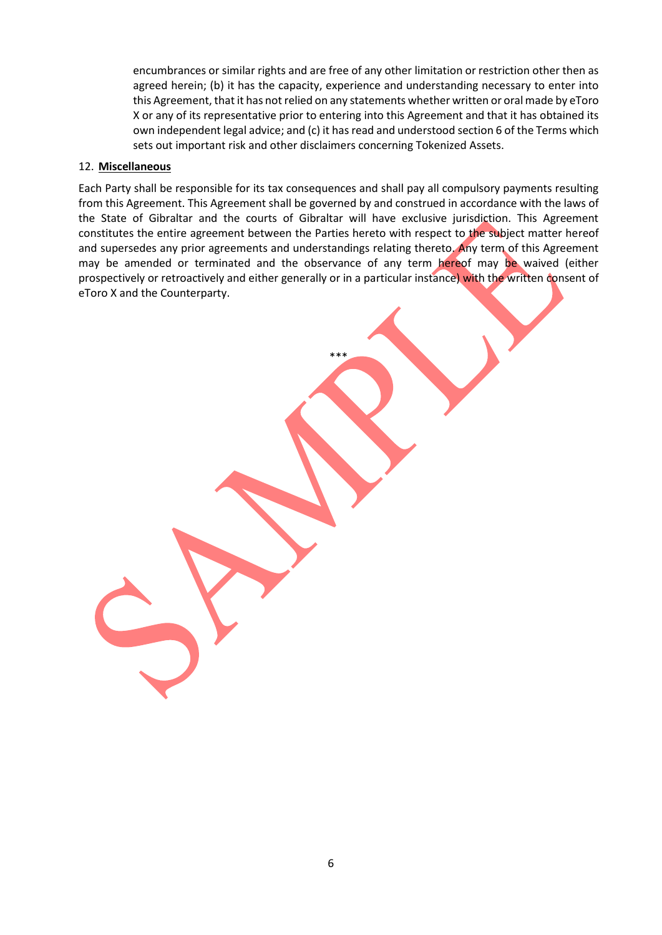encumbrances or similar rights and are free of any other limitation or restriction other then as agreed herein; (b) it has the capacity, experience and understanding necessary to enter into this Agreement, that it has not relied on any statements whether written or oral made by eToro X or any of its representative prior to entering into this Agreement and that it has obtained its own independent legal advice; and (c) it has read and understood section 6 of the Terms which sets out important risk and other disclaimers concerning Tokenized Assets.

### 12. **Miscellaneous**

Each Party shall be responsible for its tax consequences and shall pay all compulsory payments resulting from this Agreement. This Agreement shall be governed by and construed in accordance with the laws of the State of Gibraltar and the courts of Gibraltar will have exclusive jurisdiction. This Agreement constitutes the entire agreement between the Parties hereto with respect to the subject matter hereof and supersedes any prior agreements and understandings relating thereto. Any term of this Agreement may be amended or terminated and the observance of any term hereof may be waived (either prospectively or retroactively and either generally or in a particular instance) with the written consent of eToro X and the Counterparty.

\*\*\*